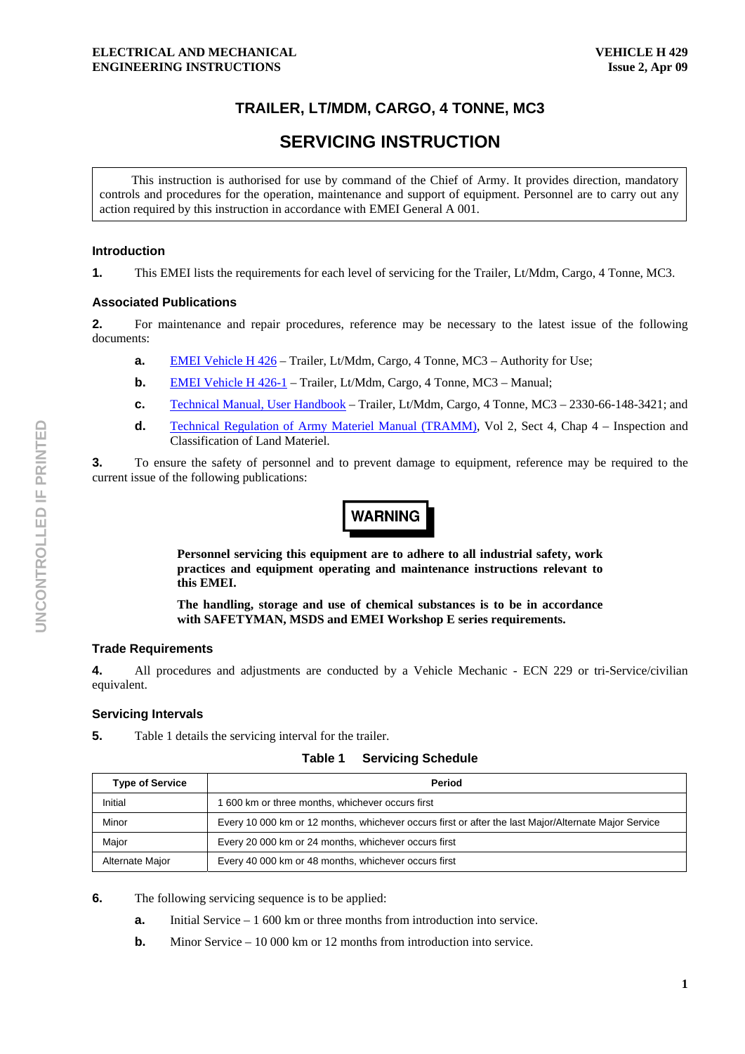# **TRAILER, LT/MDM, CARGO, 4 TONNE, MC3**

# **SERVICING INSTRUCTION**

This instruction is authorised for use by command of the Chief of Army. It provides direction, mandatory controls and procedures for the operation, maintenance and support of equipment. Personnel are to carry out any action required by this instruction in accordance with EMEI General A 001.

#### **Introduction**

**1.** This EMEI lists the requirements for each level of servicing for the Trailer, Lt/Mdm, Cargo, 4 Tonne, MC3.

#### **Associated Publications**

**2.** For maintenance and repair procedures, reference may be necessary to the latest issue of the following documents:

- **a.** EMEI Vehicle H 426 Trailer, Lt/Mdm, Cargo, 4 Tonne, MC3 Authority for Use;
- **b.** EMEI Vehicle H 426-1 Trailer, Lt/Mdm, Cargo, 4 Tonne, MC3 Manual;
- **c.** Technical Manual, User Handbook Trailer, Lt/Mdm, Cargo, 4 Tonne, MC3 2330-66-148-3421; and
- **d.** Technical Regulation of Army Materiel Manual (TRAMM), Vol 2, Sect 4, Chap 4 Inspection and Classification of Land Materiel.

**3.** To ensure the safety of personnel and to prevent damage to equipment, reference may be required to the current issue of the following publications:



**Personnel servicing this equipment are to adhere to all industrial safety, work practices and equipment operating and maintenance instructions relevant to this EMEI.** 

**The handling, storage and use of chemical substances is to be in accordance with SAFETYMAN, MSDS and EMEI Workshop E series requirements.** 

# **Trade Requirements**

**4.** All procedures and adjustments are conducted by a Vehicle Mechanic - ECN 229 or tri-Service/civilian equivalent.

# **Servicing Intervals**

**5.** Table 1 details the servicing interval for the trailer.

| Table 1 | <b>Servicing Schedule</b> |  |
|---------|---------------------------|--|
|---------|---------------------------|--|

| <b>Type of Service</b> | Period                                                                                               |  |  |  |  |
|------------------------|------------------------------------------------------------------------------------------------------|--|--|--|--|
| Initial                | 1 600 km or three months, whichever occurs first                                                     |  |  |  |  |
| Minor                  | Every 10 000 km or 12 months, whichever occurs first or after the last Major/Alternate Major Service |  |  |  |  |
| Major                  | Every 20 000 km or 24 months, whichever occurs first                                                 |  |  |  |  |
| Alternate Major        | Every 40 000 km or 48 months, whichever occurs first                                                 |  |  |  |  |

**6.** The following servicing sequence is to be applied:

- **a.** Initial Service 1 600 km or three months from introduction into service.
- **b.** Minor Service 10 000 km or 12 months from introduction into service.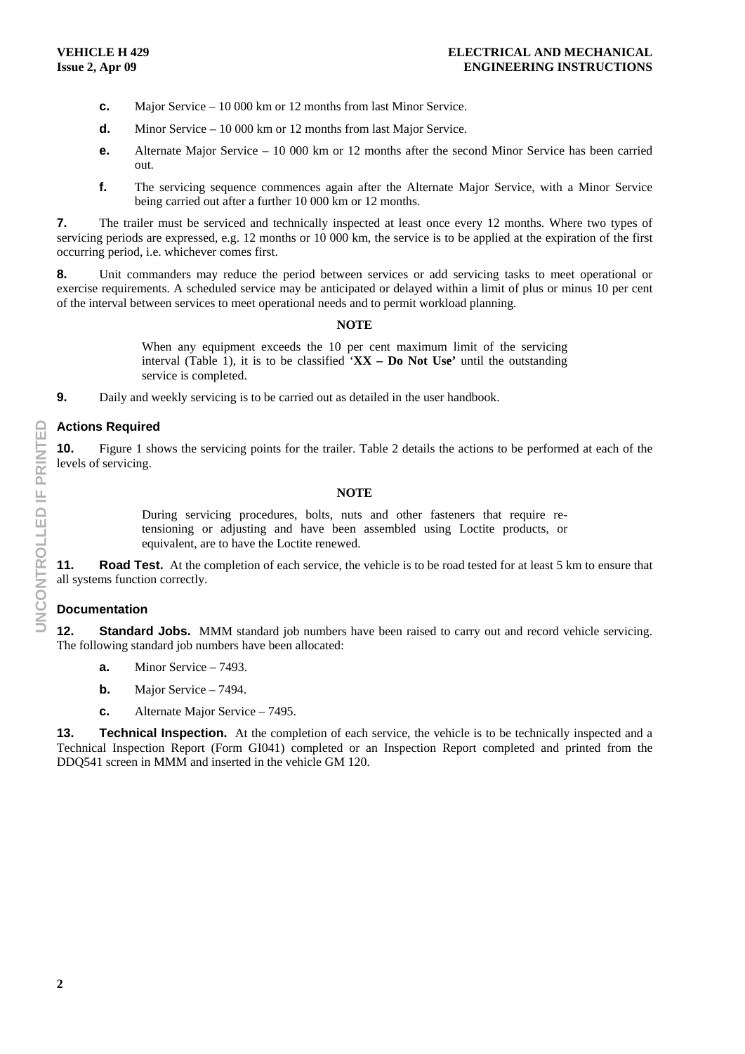- **c.** Major Service 10 000 km or 12 months from last Minor Service.
- **d.** Minor Service 10 000 km or 12 months from last Major Service.
- **e.** Alternate Major Service 10 000 km or 12 months after the second Minor Service has been carried out.
- **f.** The servicing sequence commences again after the Alternate Major Service, with a Minor Service being carried out after a further 10 000 km or 12 months.

**7.** The trailer must be serviced and technically inspected at least once every 12 months. Where two types of servicing periods are expressed, e.g. 12 months or 10 000 km, the service is to be applied at the expiration of the first occurring period, i.e. whichever comes first.

**8.** Unit commanders may reduce the period between services or add servicing tasks to meet operational or exercise requirements. A scheduled service may be anticipated or delayed within a limit of plus or minus 10 per cent of the interval between services to meet operational needs and to permit workload planning.

#### **NOTE**

When any equipment exceeds the 10 per cent maximum limit of the servicing interval (Table 1), it is to be classified '**XX – Do Not Use'** until the outstanding service is completed.

**9.** Daily and weekly servicing is to be carried out as detailed in the user handbook.

#### **Actions Required**

**10.** Figure 1 shows the servicing points for the trailer. Table 2 details the actions to be performed at each of the levels of servicing.

#### **NOTE**

During servicing procedures, bolts, nuts and other fasteners that require retensioning or adjusting and have been assembled using Loctite products, or equivalent, are to have the Loctite renewed.

**11.** Road Test. At the completion of each service, the vehicle is to be road tested for at least 5 km to ensure that all systems function correctly.

# **Documentation**

**12.** Standard Jobs. MMM standard job numbers have been raised to carry out and record vehicle servicing. The following standard job numbers have been allocated:

- **a.** Minor Service 7493.
- **b.** Major Service 7494.
- **c.** Alternate Major Service 7495.

**13. Technical Inspection.** At the completion of each service, the vehicle is to be technically inspected and a Technical Inspection Report (Form GI041) completed or an Inspection Report completed and printed from the DDQ541 screen in MMM and inserted in the vehicle GM 120.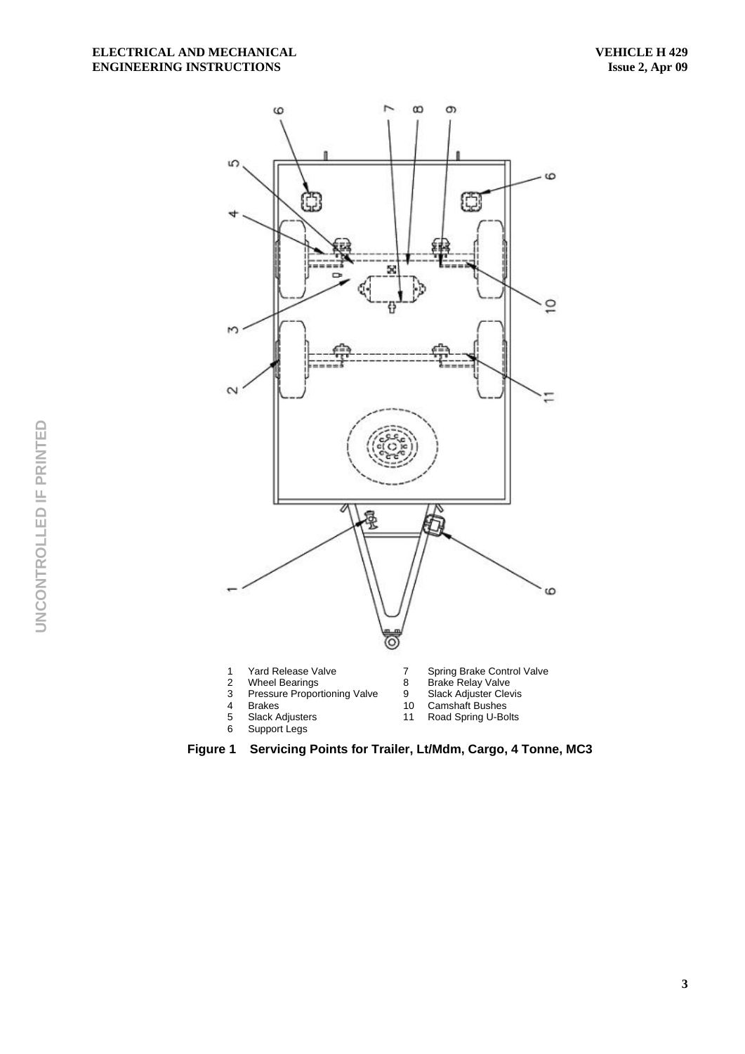

**Figure 1 Servicing Points for Trailer, Lt/Mdm, Cargo, 4 Tonne, MC3**